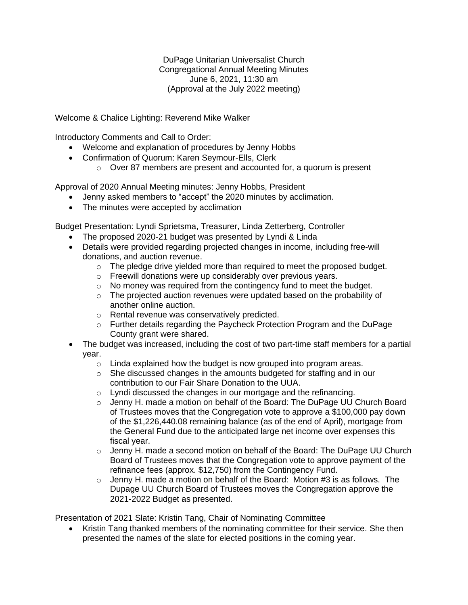DuPage Unitarian Universalist Church Congregational Annual Meeting Minutes June 6, 2021, 11:30 am (Approval at the July 2022 meeting)

Welcome & Chalice Lighting: Reverend Mike Walker

Introductory Comments and Call to Order:

- Welcome and explanation of procedures by Jenny Hobbs
- Confirmation of Quorum: Karen Seymour-Ells, Clerk
	- o Over 87 members are present and accounted for, a quorum is present

Approval of 2020 Annual Meeting minutes: Jenny Hobbs, President

- Jenny asked members to "accept" the 2020 minutes by acclimation.
- The minutes were accepted by acclimation

Budget Presentation: Lyndi Sprietsma, Treasurer, Linda Zetterberg, Controller

- The proposed 2020-21 budget was presented by Lyndi & Linda
- Details were provided regarding projected changes in income, including free-will donations, and auction revenue.
	- $\circ$  The pledge drive yielded more than required to meet the proposed budget.
	- o Freewill donations were up considerably over previous years.
	- o No money was required from the contingency fund to meet the budget.
	- $\circ$  The projected auction revenues were updated based on the probability of another online auction.
	- o Rental revenue was conservatively predicted.
	- o Further details regarding the Paycheck Protection Program and the DuPage County grant were shared.
- The budget was increased, including the cost of two part-time staff members for a partial year.
	- $\circ$  Linda explained how the budget is now grouped into program areas.
	- $\circ$  She discussed changes in the amounts budgeted for staffing and in our contribution to our Fair Share Donation to the UUA.
	- o Lyndi discussed the changes in our mortgage and the refinancing.
	- $\circ$  Jenny H. made a motion on behalf of the Board: The DuPage UU Church Board of Trustees moves that the Congregation vote to approve a \$100,000 pay down of the \$1,226,440.08 remaining balance (as of the end of April), mortgage from the General Fund due to the anticipated large net income over expenses this fiscal year.
	- $\circ$  Jenny H. made a second motion on behalf of the Board: The DuPage UU Church Board of Trustees moves that the Congregation vote to approve payment of the refinance fees (approx. \$12,750) from the Contingency Fund.
	- o Jenny H. made a motion on behalf of the Board: Motion #3 is as follows. The Dupage UU Church Board of Trustees moves the Congregation approve the 2021-2022 Budget as presented.

Presentation of 2021 Slate: Kristin Tang, Chair of Nominating Committee

• Kristin Tang thanked members of the nominating committee for their service. She then presented the names of the slate for elected positions in the coming year.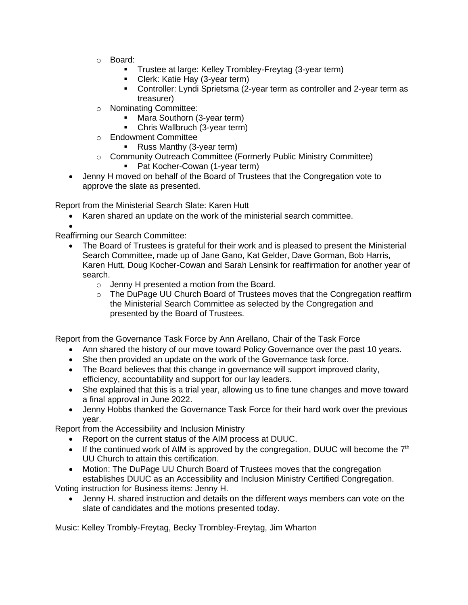- o Board:
	- Trustee at large: Kelley Trombley-Freytag (3-year term)
	- **E** Clerk: Katie Hay (3-year term)
	- Controller: Lyndi Sprietsma (2-year term as controller and 2-year term as treasurer)
- o Nominating Committee:
	- Mara Southorn (3-year term)
	- **Chris Wallbruch (3-year term)**
- o Endowment Committee
	- Russ Manthy (3-year term)
- o Community Outreach Committee (Formerly Public Ministry Committee)
	- Pat Kocher-Cowan (1-year term)
- Jenny H moved on behalf of the Board of Trustees that the Congregation vote to approve the slate as presented.

Report from the Ministerial Search Slate: Karen Hutt

• Karen shared an update on the work of the ministerial search committee.

• Reaffirming our Search Committee:

- The Board of Trustees is grateful for their work and is pleased to present the Ministerial Search Committee, made up of Jane Gano, Kat Gelder, Dave Gorman, Bob Harris, Karen Hutt, Doug Kocher-Cowan and Sarah Lensink for reaffirmation for another year of search.
	- o Jenny H presented a motion from the Board.
	- $\circ$  The DuPage UU Church Board of Trustees moves that the Congregation reaffirm the Ministerial Search Committee as selected by the Congregation and presented by the Board of Trustees.

Report from the Governance Task Force by Ann Arellano, Chair of the Task Force

- Ann shared the history of our move toward Policy Governance over the past 10 years.
- She then provided an update on the work of the Governance task force.
- The Board believes that this change in governance will support improved clarity, efficiency, accountability and support for our lay leaders.
- She explained that this is a trial year, allowing us to fine tune changes and move toward a final approval in June 2022.
- Jenny Hobbs thanked the Governance Task Force for their hard work over the previous year.

Report from the Accessibility and Inclusion Ministry

- Report on the current status of the AIM process at DUUC.
- If the continued work of AIM is approved by the congregation, DUUC will become the  $7<sup>th</sup>$ UU Church to attain this certification.
- Motion: The DuPage UU Church Board of Trustees moves that the congregation establishes DUUC as an Accessibility and Inclusion Ministry Certified Congregation.

Voting instruction for Business items: Jenny H.

• Jenny H. shared instruction and details on the different ways members can vote on the slate of candidates and the motions presented today.

Music: Kelley Trombly-Freytag, Becky Trombley-Freytag, Jim Wharton